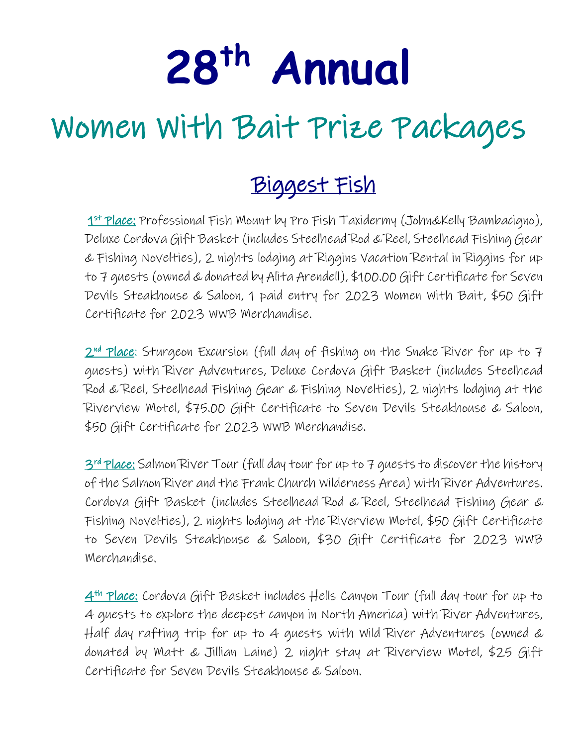# **28th Annual**

# Women With Bait Prize Packages

## Biggest Fish

1<sup>st</sup> Place: Professional Fish Mount by Pro Fish Taxidermy (John&Kelly Bambacigno), Deluxe Cordova Gift Basket (includes Steelhead Rod & Reel, Steelhead Fishing Gear & Fishing Novelties), 2 nights lodging at Riggins Vacation Rental in Riggins for up to 7 guests (owned & donated by Alita Arendell), \$100.00 Gift Certificate for Seven Devils Steakhouse & Saloon, 1 paid entry for 2023 Women With Bait, \$50 Gift Certificate for 2023 WWB Merchandise.

2<sup>nd</sup> Place: Sturgeon Excursion (full day of fishing on the Snake River for up to 7 guests) with River Adventures, Deluxe Cordova Gift Basket (includes Steelhead Rod & Reel, Steelhead Fishing Gear & Fishing Novelties), 2 nights lodging at the Riverview Motel, \$75.00 Gift Certificate to Seven Devils Steakhouse & Saloon, \$50 Gift Certificate for 2023 WWB Merchandise.

3<sup>rd</sup> Place: Salmon River Tour (full day tour for up to 7 guests to discover the history of the Salmon River and the Frank Church Wilderness Area) with River Adventures. Cordova Gift Basket (includes Steelhead Rod & Reel, Steelhead Fishing Gear & Fishing Novelties), 2 nights lodging at the Riverview Motel, \$50 Gift Certificate to Seven Devils Steakhouse & Saloon, \$30 Gift Certificate for 2023 WWB Merchandise.

4th Place: Cordova Gift Basket includes Hells Canyon Tour (full day tour for up to 4 guests to explore the deepest canyon in North America) with River Adventures, Half day rafting trip for up to 4 guests with Wild River Adventures (owned & donated by Matt & Jillian Laine) 2 night stay at Riverview Motel, \$25 Gift Certificate for Seven Devils Steakhouse & Saloon.